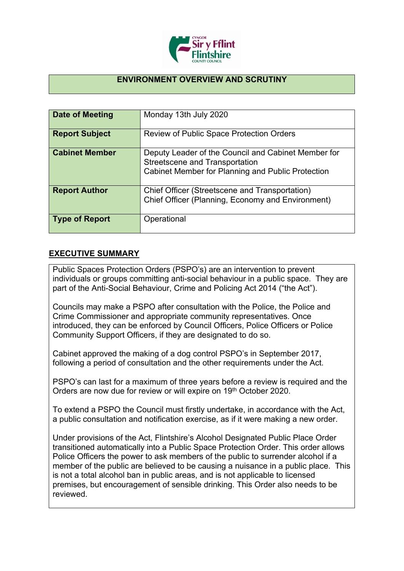

## **ENVIRONMENT OVERVIEW AND SCRUTINY**

| Date of Meeting       | Monday 13th July 2020                                                                                                                             |
|-----------------------|---------------------------------------------------------------------------------------------------------------------------------------------------|
| <b>Report Subject</b> | <b>Review of Public Space Protection Orders</b>                                                                                                   |
| <b>Cabinet Member</b> | Deputy Leader of the Council and Cabinet Member for<br><b>Streetscene and Transportation</b><br>Cabinet Member for Planning and Public Protection |
| <b>Report Author</b>  | Chief Officer (Streetscene and Transportation)<br>Chief Officer (Planning, Economy and Environment)                                               |
| <b>Type of Report</b> | Operational                                                                                                                                       |

## **EXECUTIVE SUMMARY**

Public Spaces Protection Orders (PSPO's) are an intervention to prevent individuals or groups committing anti-social behaviour in a public space. They are part of the Anti-Social Behaviour, Crime and Policing Act 2014 ("the Act").

Councils may make a PSPO after consultation with the Police, the Police and Crime Commissioner and appropriate community representatives. Once introduced, they can be enforced by Council Officers, Police Officers or Police Community Support Officers, if they are designated to do so.

Cabinet approved the making of a dog control PSPO's in September 2017, following a period of consultation and the other requirements under the Act.

PSPO's can last for a maximum of three years before a review is required and the Orders are now due for review or will expire on 19th October 2020.

To extend a PSPO the Council must firstly undertake, in accordance with the Act, a public consultation and notification exercise, as if it were making a new order.

Under provisions of the Act, Flintshire's Alcohol Designated Public Place Order transitioned automatically into a Public Space Protection Order. This order allows Police Officers the power to ask members of the public to surrender alcohol if a member of the public are believed to be causing a nuisance in a public place. This is not a total alcohol ban in public areas, and is not applicable to licensed premises, but encouragement of sensible drinking. This Order also needs to be reviewed.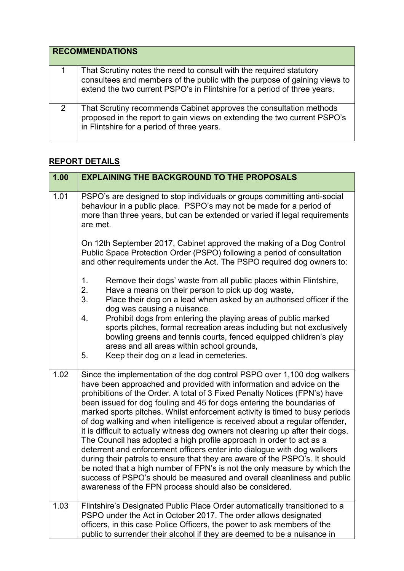|   | <b>RECOMMENDATIONS</b>                                                                                                                                                                                                       |
|---|------------------------------------------------------------------------------------------------------------------------------------------------------------------------------------------------------------------------------|
|   | That Scrutiny notes the need to consult with the required statutory<br>consultees and members of the public with the purpose of gaining views to<br>extend the two current PSPO's in Flintshire for a period of three years. |
| 2 | That Scrutiny recommends Cabinet approves the consultation methods<br>proposed in the report to gain views on extending the two current PSPO's<br>in Flintshire for a period of three years.                                 |

## **REPORT DETAILS**

| 1.00 | <b>EXPLAINING THE BACKGROUND TO THE PROPOSALS</b>                                                                                                                                                                                                                                                                                                                                                                                                                                                                                                                                                                                                                                                                                                                                                                                                                                                                                                                                                             |
|------|---------------------------------------------------------------------------------------------------------------------------------------------------------------------------------------------------------------------------------------------------------------------------------------------------------------------------------------------------------------------------------------------------------------------------------------------------------------------------------------------------------------------------------------------------------------------------------------------------------------------------------------------------------------------------------------------------------------------------------------------------------------------------------------------------------------------------------------------------------------------------------------------------------------------------------------------------------------------------------------------------------------|
| 1.01 | PSPO's are designed to stop individuals or groups committing anti-social<br>behaviour in a public place. PSPO's may not be made for a period of<br>more than three years, but can be extended or varied if legal requirements<br>are met.                                                                                                                                                                                                                                                                                                                                                                                                                                                                                                                                                                                                                                                                                                                                                                     |
|      | On 12th September 2017, Cabinet approved the making of a Dog Control<br>Public Space Protection Order (PSPO) following a period of consultation<br>and other requirements under the Act. The PSPO required dog owners to:                                                                                                                                                                                                                                                                                                                                                                                                                                                                                                                                                                                                                                                                                                                                                                                     |
|      | Remove their dogs' waste from all public places within Flintshire,<br>$\mathbf 1$ .<br>2.<br>Have a means on their person to pick up dog waste,<br>3.<br>Place their dog on a lead when asked by an authorised officer if the<br>dog was causing a nuisance.                                                                                                                                                                                                                                                                                                                                                                                                                                                                                                                                                                                                                                                                                                                                                  |
|      | Prohibit dogs from entering the playing areas of public marked<br>4.<br>sports pitches, formal recreation areas including but not exclusively<br>bowling greens and tennis courts, fenced equipped children's play<br>areas and all areas within school grounds,<br>5.<br>Keep their dog on a lead in cemeteries.                                                                                                                                                                                                                                                                                                                                                                                                                                                                                                                                                                                                                                                                                             |
| 1.02 | Since the implementation of the dog control PSPO over 1,100 dog walkers<br>have been approached and provided with information and advice on the<br>prohibitions of the Order. A total of 3 Fixed Penalty Notices (FPN's) have<br>been issued for dog fouling and 45 for dogs entering the boundaries of<br>marked sports pitches. Whilst enforcement activity is timed to busy periods<br>of dog walking and when intelligence is received about a regular offender,<br>it is difficult to actually witness dog owners not clearing up after their dogs.<br>The Council has adopted a high profile approach in order to act as a<br>deterrent and enforcement officers enter into dialogue with dog walkers<br>during their patrols to ensure that they are aware of the PSPO's. It should<br>be noted that a high number of FPN's is not the only measure by which the<br>success of PSPO's should be measured and overall cleanliness and public<br>awareness of the FPN process should also be considered. |
| 1.03 | Flintshire's Designated Public Place Order automatically transitioned to a<br>PSPO under the Act in October 2017. The order allows designated<br>officers, in this case Police Officers, the power to ask members of the<br>public to surrender their alcohol if they are deemed to be a nuisance in                                                                                                                                                                                                                                                                                                                                                                                                                                                                                                                                                                                                                                                                                                          |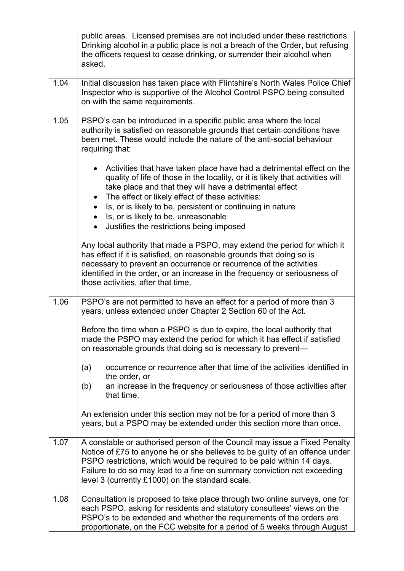|      | public areas. Licensed premises are not included under these restrictions.<br>Drinking alcohol in a public place is not a breach of the Order, but refusing<br>the officers request to cease drinking, or surrender their alcohol when<br>asked.                                                                                                                               |
|------|--------------------------------------------------------------------------------------------------------------------------------------------------------------------------------------------------------------------------------------------------------------------------------------------------------------------------------------------------------------------------------|
| 1.04 | Initial discussion has taken place with Flintshire's North Wales Police Chief<br>Inspector who is supportive of the Alcohol Control PSPO being consulted<br>on with the same requirements.                                                                                                                                                                                     |
| 1.05 | PSPO's can be introduced in a specific public area where the local<br>authority is satisfied on reasonable grounds that certain conditions have<br>been met. These would include the nature of the anti-social behaviour<br>requiring that:                                                                                                                                    |
|      | • Activities that have taken place have had a detrimental effect on the<br>quality of life of those in the locality, or it is likely that activities will<br>take place and that they will have a detrimental effect<br>The effect or likely effect of these activities:<br>Is, or is likely to be, persistent or continuing in nature<br>Is, or is likely to be, unreasonable |
|      | Justifies the restrictions being imposed                                                                                                                                                                                                                                                                                                                                       |
|      | Any local authority that made a PSPO, may extend the period for which it<br>has effect if it is satisfied, on reasonable grounds that doing so is<br>necessary to prevent an occurrence or recurrence of the activities<br>identified in the order, or an increase in the frequency or seriousness of<br>those activities, after that time.                                    |
| 1.06 | PSPO's are not permitted to have an effect for a period of more than 3<br>years, unless extended under Chapter 2 Section 60 of the Act.                                                                                                                                                                                                                                        |
|      | Before the time when a PSPO is due to expire, the local authority that<br>made the PSPO may extend the period for which it has effect if satisfied<br>on reasonable grounds that doing so is necessary to prevent-                                                                                                                                                             |
|      | occurrence or recurrence after that time of the activities identified in<br>(a)<br>the order, or<br>an increase in the frequency or seriousness of those activities after<br>(b)<br>that time.                                                                                                                                                                                 |
|      | An extension under this section may not be for a period of more than 3<br>years, but a PSPO may be extended under this section more than once.                                                                                                                                                                                                                                 |
| 1.07 | A constable or authorised person of the Council may issue a Fixed Penalty<br>Notice of £75 to anyone he or she believes to be guilty of an offence under<br>PSPO restrictions, which would be required to be paid within 14 days.<br>Failure to do so may lead to a fine on summary conviction not exceeding<br>level 3 (currently £1000) on the standard scale.               |
| 1.08 | Consultation is proposed to take place through two online surveys, one for<br>each PSPO, asking for residents and statutory consultees' views on the<br>PSPO's to be extended and whether the requirements of the orders are<br>proportionate, on the FCC website for a period of 5 weeks through August                                                                       |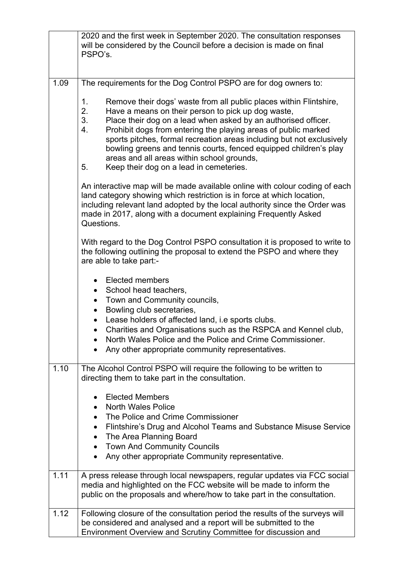|      | 2020 and the first week in September 2020. The consultation responses<br>will be considered by the Council before a decision is made on final<br>PSPO's.                                                                                                                                                                                                                                                                                                                                                                          |
|------|-----------------------------------------------------------------------------------------------------------------------------------------------------------------------------------------------------------------------------------------------------------------------------------------------------------------------------------------------------------------------------------------------------------------------------------------------------------------------------------------------------------------------------------|
| 1.09 | The requirements for the Dog Control PSPO are for dog owners to:                                                                                                                                                                                                                                                                                                                                                                                                                                                                  |
|      | 1.<br>Remove their dogs' waste from all public places within Flintshire,<br>2.<br>Have a means on their person to pick up dog waste,<br>3.<br>Place their dog on a lead when asked by an authorised officer.<br>4.<br>Prohibit dogs from entering the playing areas of public marked<br>sports pitches, formal recreation areas including but not exclusively<br>bowling greens and tennis courts, fenced equipped children's play<br>areas and all areas within school grounds,<br>5.<br>Keep their dog on a lead in cemeteries. |
|      | An interactive map will be made available online with colour coding of each<br>land category showing which restriction is in force at which location,<br>including relevant land adopted by the local authority since the Order was<br>made in 2017, along with a document explaining Frequently Asked<br>Questions.                                                                                                                                                                                                              |
|      | With regard to the Dog Control PSPO consultation it is proposed to write to<br>the following outlining the proposal to extend the PSPO and where they<br>are able to take part:-                                                                                                                                                                                                                                                                                                                                                  |
|      | <b>Elected members</b><br>$\bullet$<br>School head teachers,<br>$\bullet$<br>Town and Community councils,<br>$\bullet$<br>Bowling club secretaries,<br>$\bullet$<br>Lease holders of affected land, i.e sports clubs.<br>$\bullet$<br>Charities and Organisations such as the RSPCA and Kennel club,<br>North Wales Police and the Police and Crime Commissioner.<br>Any other appropriate community representatives.                                                                                                             |
| 1.10 | The Alcohol Control PSPO will require the following to be written to<br>directing them to take part in the consultation.                                                                                                                                                                                                                                                                                                                                                                                                          |
|      | <b>Elected Members</b><br>$\bullet$<br><b>North Wales Police</b><br>$\bullet$<br>The Police and Crime Commissioner<br>$\bullet$<br>Flintshire's Drug and Alcohol Teams and Substance Misuse Service<br>$\bullet$<br>The Area Planning Board<br>$\bullet$<br><b>Town And Community Councils</b><br>$\bullet$<br>Any other appropriate Community representative.                                                                                                                                                                    |
| 1.11 | A press release through local newspapers, regular updates via FCC social<br>media and highlighted on the FCC website will be made to inform the<br>public on the proposals and where/how to take part in the consultation.                                                                                                                                                                                                                                                                                                        |
| 1.12 | Following closure of the consultation period the results of the surveys will<br>be considered and analysed and a report will be submitted to the<br>Environment Overview and Scrutiny Committee for discussion and                                                                                                                                                                                                                                                                                                                |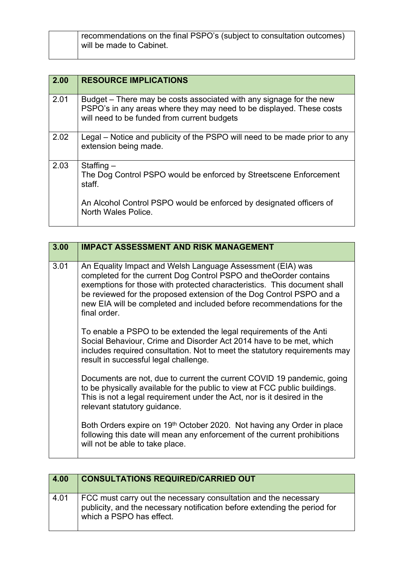| recommendations on the final PSPO's (subject to consultation outcomes) |
|------------------------------------------------------------------------|
| will be made to Cabinet.                                               |

| 2.00 | <b>RESOURCE IMPLICATIONS</b>                                                                                                                                                               |
|------|--------------------------------------------------------------------------------------------------------------------------------------------------------------------------------------------|
| 2.01 | Budget – There may be costs associated with any signage for the new<br>PSPO's in any areas where they may need to be displayed. These costs<br>will need to be funded from current budgets |
| 2.02 | Legal – Notice and publicity of the PSPO will need to be made prior to any<br>extension being made.                                                                                        |
| 2.03 | Staffing $-$<br>The Dog Control PSPO would be enforced by Streetscene Enforcement<br>staff.                                                                                                |
|      | An Alcohol Control PSPO would be enforced by designated officers of<br>North Wales Police.                                                                                                 |

| 3.00 | <b>IMPACT ASSESSMENT AND RISK MANAGEMENT</b>                                                                                                                                                                                                                                                                                                                                 |
|------|------------------------------------------------------------------------------------------------------------------------------------------------------------------------------------------------------------------------------------------------------------------------------------------------------------------------------------------------------------------------------|
| 3.01 | An Equality Impact and Welsh Language Assessment (EIA) was<br>completed for the current Dog Control PSPO and theOorder contains<br>exemptions for those with protected characteristics. This document shall<br>be reviewed for the proposed extension of the Dog Control PSPO and a<br>new EIA will be completed and included before recommendations for the<br>final order. |
|      | To enable a PSPO to be extended the legal requirements of the Anti<br>Social Behaviour, Crime and Disorder Act 2014 have to be met, which<br>includes required consultation. Not to meet the statutory requirements may<br>result in successful legal challenge.                                                                                                             |
|      | Documents are not, due to current the current COVID 19 pandemic, going<br>to be physically available for the public to view at FCC public buildings.<br>This is not a legal requirement under the Act, nor is it desired in the<br>relevant statutory guidance.                                                                                                              |
|      | Both Orders expire on 19 <sup>th</sup> October 2020. Not having any Order in place<br>following this date will mean any enforcement of the current prohibitions<br>will not be able to take place.                                                                                                                                                                           |

| 4.00 | <b>CONSULTATIONS REQUIRED/CARRIED OUT</b>                                                                                                                                |
|------|--------------------------------------------------------------------------------------------------------------------------------------------------------------------------|
| 4.01 | FCC must carry out the necessary consultation and the necessary<br>publicity, and the necessary notification before extending the period for<br>which a PSPO has effect. |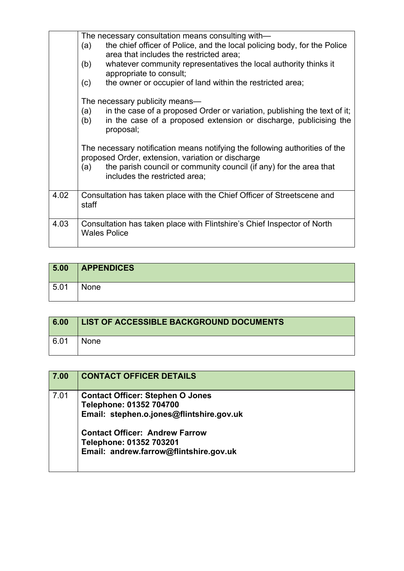|      | The necessary consultation means consulting with—<br>the chief officer of Police, and the local policing body, for the Police<br>(a)<br>area that includes the restricted area;<br>whatever community representatives the local authority thinks it<br>(b)<br>appropriate to consult; |
|------|---------------------------------------------------------------------------------------------------------------------------------------------------------------------------------------------------------------------------------------------------------------------------------------|
|      | the owner or occupier of land within the restricted area;<br>(c)                                                                                                                                                                                                                      |
|      | The necessary publicity means—<br>in the case of a proposed Order or variation, publishing the text of it;<br>(a)<br>in the case of a proposed extension or discharge, publicising the<br>(b)<br>proposal;                                                                            |
|      | The necessary notification means notifying the following authorities of the<br>proposed Order, extension, variation or discharge<br>the parish council or community council (if any) for the area that<br>(a)<br>includes the restricted area;                                        |
| 4.02 | Consultation has taken place with the Chief Officer of Streetscene and<br>staff                                                                                                                                                                                                       |
| 4.03 | Consultation has taken place with Flintshire's Chief Inspector of North<br><b>Wales Police</b>                                                                                                                                                                                        |

| 5.00 | <b>APPENDICES</b> |
|------|-------------------|
| 5.01 | None              |

| 6.00 | LIST OF ACCESSIBLE BACKGROUND DOCUMENTS |
|------|-----------------------------------------|
| 6.01 | <b>None</b>                             |

| 7.00 | <b>CONTACT OFFICER DETAILS</b>                                                                                                                                                                                               |
|------|------------------------------------------------------------------------------------------------------------------------------------------------------------------------------------------------------------------------------|
| 7.01 | <b>Contact Officer: Stephen O Jones</b><br>Telephone: 01352 704700<br>Email: stephen.o.jones@flintshire.gov.uk<br><b>Contact Officer: Andrew Farrow</b><br>Telephone: 01352 703201<br>Email: andrew.farrow@flintshire.gov.uk |